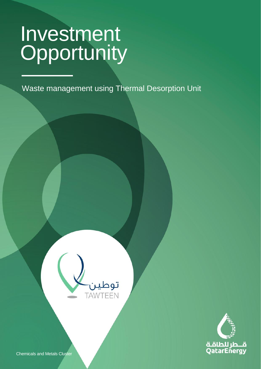CLASSIFICATION: C2 - CONFIDENTIAL

Waste management using Thermal Desorption Unit





Chemicals and Metals Cluster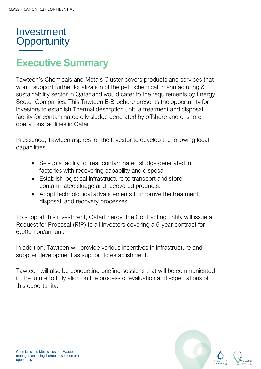

## **Executive Summary**

Tawteen's Chemicals and Metals Cluster covers products and services that would support further localization of the petrochemical, manufacturing & sustainability sector in Qatar and would cater to the requirements by Energy Sector Companies. This Tawteen E-Brochure presents the opportunity for investors to establish Thermal desorption unit, a treatment and disposal facility for contaminated oily sludge generated by offshore and onshore operations facilities in Qatar.

In essence, Tawteen aspires for the Investor to develop the following local capabilities:

- Set-up a facility to treat contaminated sludge generated in factories with recovering capability and disposal
- Establish logistical infrastructure to transport and store contaminated sludge and recovered products.
- Adopt technological advancements to improve the treatment, disposal, and recovery processes.

To support this investment, QatarEnergy, the Contracting Entity will issue a Request for Proposal (RfP) to all Investors covering a 5-year contract for 6,000 Ton/annum.

In addition, Tawteen will provide various incentives in infrastructure and supplier development as support to establishment.

Tawteen will also be conducting briefing sessions that will be communicated in the future to fully align on the process of evaluation and expectations of this opportunity.

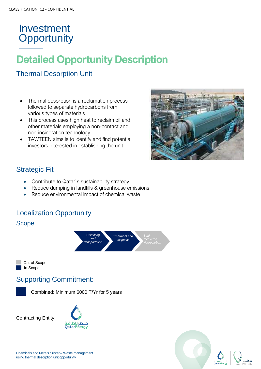## **Detailed Opportunity Description**

#### Thermal Desorption Unit

- Thermal desorption is a reclamation process followed to separate hydrocarbons from various types of materials.
- This process uses high heat to reclaim oil and other materials employing a non-contact and non-incineration technology.
- TAWTEEN aims is to identify and find potential investors interested in establishing the unit.



#### Strategic Fit

- Contribute to Qatar's sustainability strategy
- Reduce dumping in landfills & greenhouse emissions
- Reduce environmental impact of chemical waste

#### Localization Opportunity







#### Supporting Commitment:

Combined: Minimum 6000 T/Yr for 5 years

Contracting Entity:





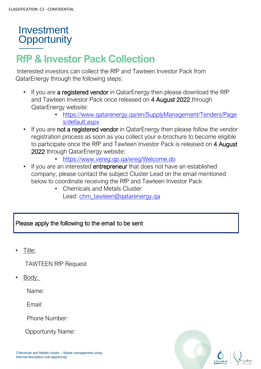## **RfP & Investor Pack Collection**

Interested investors can collect the RfP and Tawteen Investor Pack from QatarEnergy through the following steps:

- If you are a registered vendor in QatarEnergy then please download the RfP and Tawteen Investor Pack once released on 4 August 2022 through QatarEnergy website:
	- [https://www.qatarenergy.qa/en/SupplyManagement/Tenders/Page](https://www.qatarenergy.qa/en/SupplyManagement/Tenders/Pages/default.aspx) [s/default.aspx](https://www.qatarenergy.qa/en/SupplyManagement/Tenders/Pages/default.aspx)
- If you are not a registered vendor in QatarEnergy then please follow the vendor registration process as soon as you collect your e-brochure to become eligible to participate once the RfP and Tawteen Investor Pack is released on 4 August 2022 through QatarEnergy website:
	- <https://www.vereg.qp.qa/ereg/Welcome.do>
- If you are an interested **entrepreneur** that does not have an established company, please contact the subject Cluster Lead on the email mentioned below to coordinate receiving the RfP and Tawteen Investor Pack
	- Chemicals and Metals Cluster Lead: [chm\\_tawteen@qatarenergy.qa](mailto:chm_tawteen@qatarenergy.qa)

#### Please apply the following to the email to be sent

• Title:

TAWTEEN RfP Request

Body:

Name:

Email:

Phone Number:

Opportunity Name: